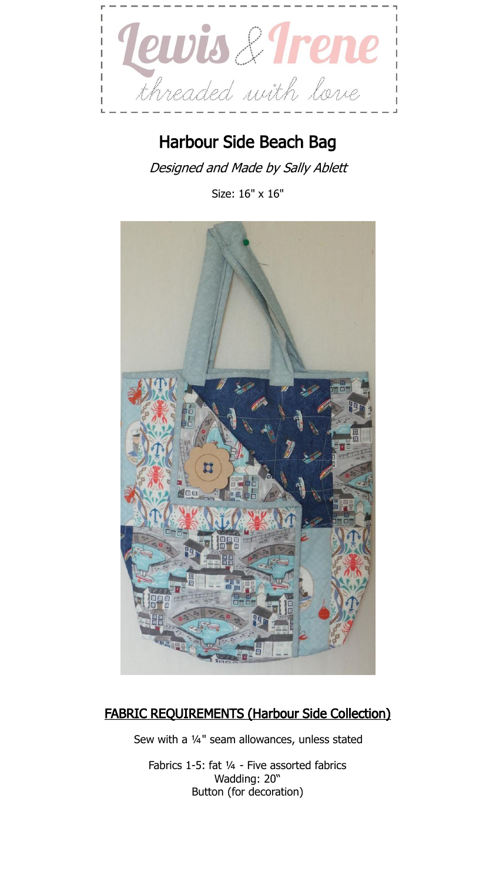

## Harbour Side Beach Bag

Designed and Made by Sally Ablett

Size: 16" x 16"



## FABRIC REQUIREMENTS (Harbour Side Collection)

Sew with a ¼" seam allowances, unless stated

Fabrics 1-5: fat ¼ - Five assorted fabrics Wadding: 20" Button (for decoration)